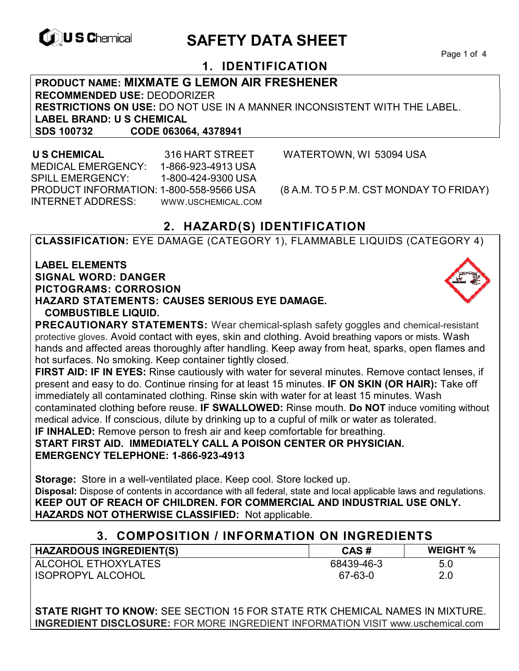

ISOPROPYL ALCOHOL

# **EXAGREM** SAFETY DATA SHEET

Page 1 of 4

# **1. IDENTIFICATION**

**PRODUCT NAME: MIXMATE G LEMON AIR FRESHENER RECOMMENDED USE:** DEODORIZER **RESTRICTIONS ON USE:** DO NOT USE IN A MANNER INCONSISTENT WITH THE LABEL. **LABEL BRAND: U S CHEMICAL SDS 100732 CODE 063064, 4378941** 

 **U S CHEMICAL** 316 HART STREET WATERTOWN, WI 53094 USA MEDICAL EMERGENCY: 1-866-923-4913 USA SPILL EMERGENCY: 1-800-424-9300 USA PRODUCT INFORMATION: 1-800-558-9566 USA (8 A.M. TO 5 P.M. CST MONDAY TO FRIDAY) INTERNET ADDRESS: WWW.USCHEMICAL.COM

67-63-0

# **2. HAZARD(S) IDENTIFICATION**

**CLASSIFICATION:** EYE DAMAGE (CATEGORY 1), FLAMMABLE LIQUIDS (CATEGORY 4)

**LABEL ELEMENTS SIGNAL WORD: DANGER PICTOGRAMS: CORROSION HAZARD STATEMENTS: CAUSES SERIOUS EYE DAMAGE. COMBUSTIBLE LIQUID.** 



2.0

**PRECAUTIONARY STATEMENTS:** Wear chemical-splash safety goggles and chemical-resistant protective gloves. Avoid contact with eyes, skin and clothing. Avoid breathing vapors or mists. Wash hands and affected areas thoroughly after handling. Keep away from heat, sparks, open flames and hot surfaces. No smoking. Keep container tightly closed.

**FIRST AID: IF IN EYES:** Rinse cautiously with water for several minutes. Remove contact lenses, if present and easy to do. Continue rinsing for at least 15 minutes. **IF ON SKIN (OR HAIR):** Take off immediately all contaminated clothing. Rinse skin with water for at least 15 minutes. Wash contaminated clothing before reuse. **IF SWALLOWED:** Rinse mouth. **Do NOT** induce vomiting without medical advice. If conscious, dilute by drinking up to a cupful of milk or water as tolerated. **IF INHALED:** Remove person to fresh air and keep comfortable for breathing.

**START FIRST AID. IMMEDIATELY CALL A POISON CENTER OR PHYSICIAN. EMERGENCY TELEPHONE: 1-866-923-4913**

**Storage:** Store in a well-ventilated place. Keep cool. Store locked up. **Disposal:** Dispose of contents in accordance with all federal, state and local applicable laws and regulations. **KEEP OUT OF REACH OF CHILDREN. FOR COMMERCIAL AND INDUSTRIAL USE ONLY. HAZARDS NOT OTHERWISE CLASSIFIED:** Not applicable.

| 3. COMPOSITION / INFORMATION ON INGREDIENTS |            |                 |
|---------------------------------------------|------------|-----------------|
| <b>HAZARDOUS INGREDIENT(S)</b>              | CAS #      | <b>WEIGHT</b> % |
| ALCOHOL ETHOXYLATES                         | 68439-46-3 | 5.0             |

**STATE RIGHT TO KNOW:** SEE SECTION 15 FOR STATE RTK CHEMICAL NAMES IN MIXTURE. **INGREDIENT DISCLOSURE:** FOR MORE INGREDIENT INFORMATION VISIT www.uschemical.com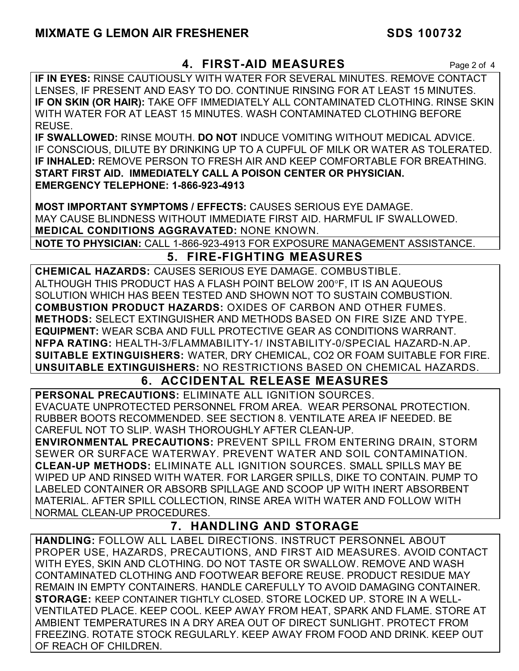## **4. FIRST-AID MEASURES** Page 2 of 4

**IF IN EYES:** RINSE CAUTIOUSLY WITH WATER FOR SEVERAL MINUTES. REMOVE CONTACT LENSES, IF PRESENT AND EASY TO DO. CONTINUE RINSING FOR AT LEAST 15 MINUTES. **IF ON SKIN (OR HAIR):** TAKE OFF IMMEDIATELY ALL CONTAMINATED CLOTHING. RINSE SKIN WITH WATER FOR AT LEAST 15 MINUTES. WASH CONTAMINATED CLOTHING BEFORE REUSE.

**IF SWALLOWED:** RINSE MOUTH. **DO NOT** INDUCE VOMITING WITHOUT MEDICAL ADVICE. IF CONSCIOUS, DILUTE BY DRINKING UP TO A CUPFUL OF MILK OR WATER AS TOLERATED. **IF INHALED:** REMOVE PERSON TO FRESH AIR AND KEEP COMFORTABLE FOR BREATHING. **START FIRST AID. IMMEDIATELY CALL A POISON CENTER OR PHYSICIAN. EMERGENCY TELEPHONE: 1-866-923-4913**

**MOST IMPORTANT SYMPTOMS / EFFECTS:** CAUSES SERIOUS EYE DAMAGE. MAY CAUSE BLINDNESS WITHOUT IMMEDIATE FIRST AID. HARMFUL IF SWALLOWED. **MEDICAL CONDITIONS AGGRAVATED:** NONE KNOWN.

**NOTE TO PHYSICIAN:** CALL 1-866-923-4913 FOR EXPOSURE MANAGEMENT ASSISTANCE.

# **5. FIRE-FIGHTING MEASURES**

**CHEMICAL HAZARDS:** CAUSES SERIOUS EYE DAMAGE. COMBUSTIBLE. ALTHOUGH THIS PRODUCT HAS A FLASH POINT BELOW 200F, IT IS AN AQUEOUS SOLUTION WHICH HAS BEEN TESTED AND SHOWN NOT TO SUSTAIN COMBUSTION. **COMBUSTION PRODUCT HAZARDS:** OXIDES OF CARBON AND OTHER FUMES. **METHODS:** SELECT EXTINGUISHER AND METHODS BASED ON FIRE SIZE AND TYPE. **EQUIPMENT:** WEAR SCBA AND FULL PROTECTIVE GEAR AS CONDITIONS WARRANT. **NFPA RATING:** HEALTH-3/FLAMMABILITY-1/ INSTABILITY-0/SPECIAL HAZARD-N.AP. **SUITABLE EXTINGUISHERS:** WATER, DRY CHEMICAL, CO2 OR FOAM SUITABLE FOR FIRE. **UNSUITABLE EXTINGUISHERS:** NO RESTRICTIONS BASED ON CHEMICAL HAZARDS.

# **6. ACCIDENTAL RELEASE MEASURES**

**PERSONAL PRECAUTIONS:** ELIMINATE ALL IGNITION SOURCES. EVACUATE UNPROTECTED PERSONNEL FROM AREA. WEAR PERSONAL PROTECTION. RUBBER BOOTS RECOMMENDED. SEE SECTION 8. VENTILATE AREA IF NEEDED. BE CAREFUL NOT TO SLIP. WASH THOROUGHLY AFTER CLEAN-UP.

**ENVIRONMENTAL PRECAUTIONS:** PREVENT SPILL FROM ENTERING DRAIN, STORM SEWER OR SURFACE WATERWAY. PREVENT WATER AND SOIL CONTAMINATION. **CLEAN-UP METHODS:** ELIMINATE ALL IGNITION SOURCES. SMALL SPILLS MAY BE WIPED UP AND RINSED WITH WATER. FOR LARGER SPILLS, DIKE TO CONTAIN. PUMP TO LABELED CONTAINER OR ABSORB SPILLAGE AND SCOOP UP WITH INERT ABSORBENT MATERIAL. AFTER SPILL COLLECTION, RINSE AREA WITH WATER AND FOLLOW WITH NORMAL CLEAN-UP PROCEDURES.

# **7. HANDLING AND STORAGE**

**HANDLING:** FOLLOW ALL LABEL DIRECTIONS. INSTRUCT PERSONNEL ABOUT PROPER USE, HAZARDS, PRECAUTIONS, AND FIRST AID MEASURES. AVOID CONTACT WITH EYES, SKIN AND CLOTHING. DO NOT TASTE OR SWALLOW. REMOVE AND WASH CONTAMINATED CLOTHING AND FOOTWEAR BEFORE REUSE. PRODUCT RESIDUE MAY REMAIN IN EMPTY CONTAINERS. HANDLE CAREFULLY TO AVOID DAMAGING CONTAINER. **STORAGE:** KEEP CONTAINER TIGHTLY CLOSED. STORE LOCKED UP. STORE IN A WELL-VENTILATED PLACE. KEEP COOL. KEEP AWAY FROM HEAT, SPARK AND FLAME. STORE AT AMBIENT TEMPERATURES IN A DRY AREA OUT OF DIRECT SUNLIGHT. PROTECT FROM FREEZING. ROTATE STOCK REGULARLY. KEEP AWAY FROM FOOD AND DRINK. KEEP OUT OF REACH OF CHILDREN.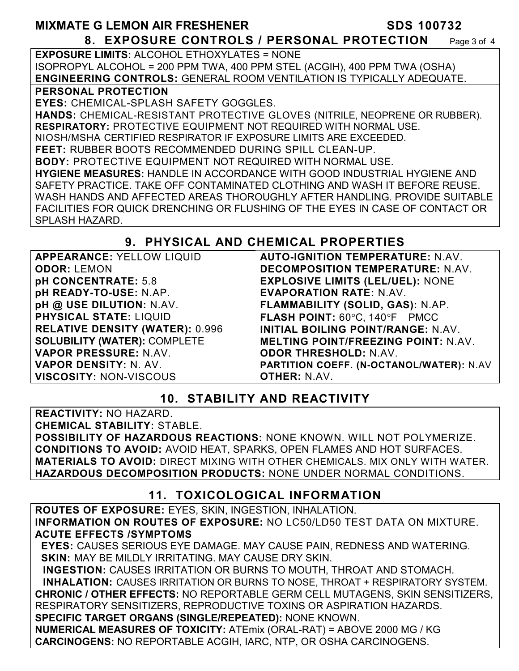#### **MIXMATE G LEMON AIR FRESHENER SDS 100732 8. EXPOSURE CONTROLS / PERSONAL PROTECTION** Page 3 of 4

**EXPOSURE LIMITS:** ALCOHOL ETHOXYLATES = NONE ISOPROPYL ALCOHOL = 200 PPM TWA, 400 PPM STEL (ACGIH), 400 PPM TWA (OSHA) **ENGINEERING CONTROLS:** GENERAL ROOM VENTILATION IS TYPICALLY ADEQUATE.

#### **PERSONAL PROTECTION**

**EYES:** CHEMICAL-SPLASH SAFETY GOGGLES. **HANDS:** CHEMICAL-RESISTANT PROTECTIVE GLOVES (NITRILE, NEOPRENE OR RUBBER). **RESPIRATORY:** PROTECTIVE EQUIPMENT NOT REQUIRED WITH NORMAL USE. NIOSH/MSHA CERTIFIED RESPIRATOR IF EXPOSURE LIMITS ARE EXCEEDED. **FEET:** RUBBER BOOTS RECOMMENDED DURING SPILL CLEAN-UP. **BODY:** PROTECTIVE EQUIPMENT NOT REQUIRED WITH NORMAL USE. **HYGIENE MEASURES:** HANDLE IN ACCORDANCE WITH GOOD INDUSTRIAL HYGIENE AND SAFETY PRACTICE. TAKE OFF CONTAMINATED CLOTHING AND WASH IT BEFORE REUSE. WASH HANDS AND AFFECTED AREAS THOROUGHLY AFTER HANDLING. PROVIDE SUITABLE FACILITIES FOR QUICK DRENCHING OR FLUSHING OF THE EYES IN CASE OF CONTACT OR SPLASH HAZARD.

## **9. PHYSICAL AND CHEMICAL PROPERTIES**

**APPEARANCE:** YELLOW LIQUID **ODOR:** LEMON **pH CONCENTRATE:** 5.8 **pH READY-TO-USE:** N.AP. **pH @ USE DILUTION:** N.AV. **PHYSICAL STATE:** LIQUID **RELATIVE DENSITY (WATER):** 0.996 **SOLUBILITY (WATER):** COMPLETE **VAPOR PRESSURE:** N.AV. **VAPOR DENSITY:** N. AV. **VISCOSITY:** NON-VISCOUS

**AUTO-IGNITION TEMPERATURE:** N.AV. **DECOMPOSITION TEMPERATURE:** N.AV. **EXPLOSIVE LIMITS (LEL/UEL):** NONE **EVAPORATION RATE:** N.AV. **FLAMMABILITY (SOLID, GAS):** N.AP. FLASH POINT: 60°C, 140°F PMCC **INITIAL BOILING POINT/RANGE:** N.AV. **MELTING POINT/FREEZING POINT:** N.AV. **ODOR THRESHOLD:** N.AV. **PARTITION COEFF. (N-OCTANOL/WATER):** N.AV **OTHER:** N.AV.

# **10. STABILITY AND REACTIVITY**

**REACTIVITY:** NO HAZARD. **CHEMICAL STABILITY:** STABLE. **POSSIBILITY OF HAZARDOUS REACTIONS:** NONE KNOWN. WILL NOT POLYMERIZE. **CONDITIONS TO AVOID:** AVOID HEAT, SPARKS, OPEN FLAMES AND HOT SURFACES. **MATERIALS TO AVOID:** DIRECT MIXING WITH OTHER CHEMICALS. MIX ONLY WITH WATER. **HAZARDOUS DECOMPOSITION PRODUCTS:** NONE UNDER NORMAL CONDITIONS.

# **11. TOXICOLOGICAL INFORMATION**

**ROUTES OF EXPOSURE:** EYES, SKIN, INGESTION, INHALATION. **INFORMATION ON ROUTES OF EXPOSURE:** NO LC50/LD50 TEST DATA ON MIXTURE. **ACUTE EFFECTS /SYMPTOMS**

 **EYES:** CAUSES SERIOUS EYE DAMAGE. MAY CAUSE PAIN, REDNESS AND WATERING. **SKIN: MAY BE MILDLY IRRITATING. MAY CAUSE DRY SKIN.** 

 **INGESTION:** CAUSES IRRITATION OR BURNS TO MOUTH, THROAT AND STOMACH. **INHALATION:** CAUSES IRRITATION OR BURNS TO NOSE, THROAT + RESPIRATORY SYSTEM. **CHRONIC / OTHER EFFECTS:** NO REPORTABLE GERM CELL MUTAGENS, SKIN SENSITIZERS, RESPIRATORY SENSITIZERS, REPRODUCTIVE TOXINS OR ASPIRATION HAZARDS. **SPECIFIC TARGET ORGANS (SINGLE/REPEATED):** NONE KNOWN.

**NUMERICAL MEASURES OF TOXICITY:** ATEmix (ORAL-RAT) = ABOVE 2000 MG / KG **CARCINOGENS:** NO REPORTABLE ACGIH, IARC, NTP, OR OSHA CARCINOGENS.